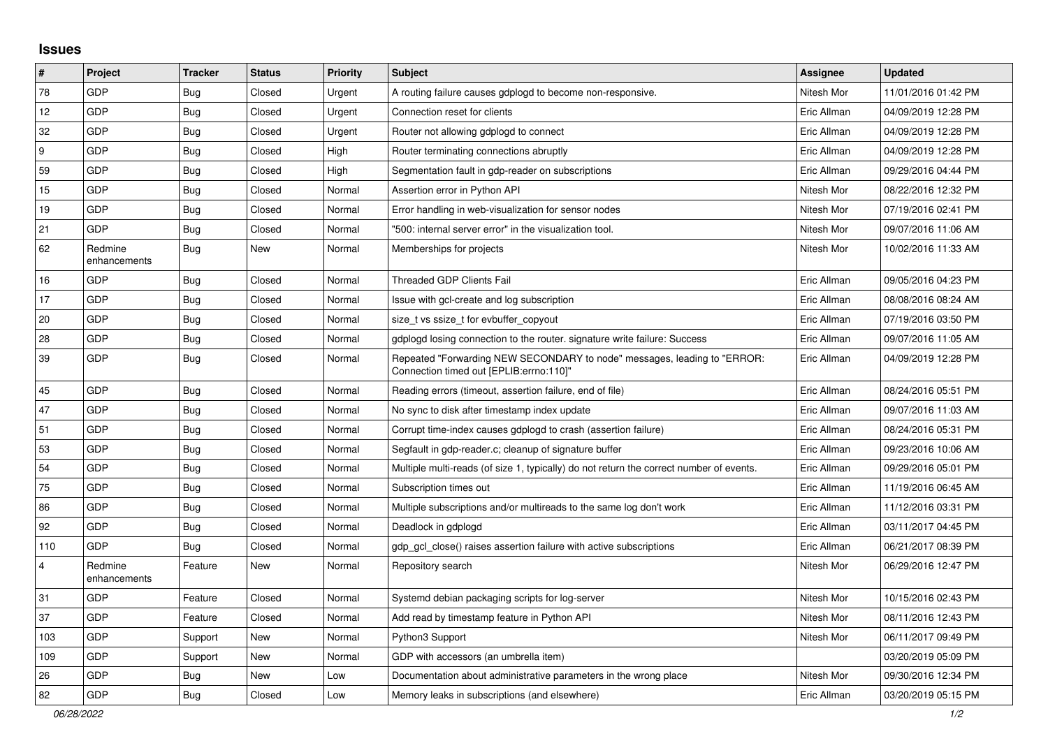## **Issues**

| $\vert$ #        | Project                 | <b>Tracker</b> | <b>Status</b> | <b>Priority</b> | <b>Subject</b>                                                                                                      | Assignee    | <b>Updated</b>      |
|------------------|-------------------------|----------------|---------------|-----------------|---------------------------------------------------------------------------------------------------------------------|-------------|---------------------|
| 78               | GDP                     | Bug            | Closed        | Urgent          | A routing failure causes gdplogd to become non-responsive.                                                          | Nitesh Mor  | 11/01/2016 01:42 PM |
| 12               | GDP                     | <b>Bug</b>     | Closed        | Urgent          | Connection reset for clients                                                                                        | Eric Allman | 04/09/2019 12:28 PM |
| 32               | GDP                     | Bug            | Closed        | Urgent          | Router not allowing gdplogd to connect                                                                              | Eric Allman | 04/09/2019 12:28 PM |
| $\boldsymbol{9}$ | <b>GDP</b>              | <b>Bug</b>     | Closed        | High            | Router terminating connections abruptly                                                                             | Eric Allman | 04/09/2019 12:28 PM |
| 59               | GDP                     | Bug            | Closed        | High            | Segmentation fault in gdp-reader on subscriptions                                                                   | Eric Allman | 09/29/2016 04:44 PM |
| 15               | GDP                     | <b>Bug</b>     | Closed        | Normal          | Assertion error in Python API                                                                                       | Nitesh Mor  | 08/22/2016 12:32 PM |
| 19               | GDP                     | <b>Bug</b>     | Closed        | Normal          | Error handling in web-visualization for sensor nodes                                                                | Nitesh Mor  | 07/19/2016 02:41 PM |
| 21               | <b>GDP</b>              | <b>Bug</b>     | Closed        | Normal          | "500: internal server error" in the visualization tool.                                                             | Nitesh Mor  | 09/07/2016 11:06 AM |
| 62               | Redmine<br>enhancements | Bug            | <b>New</b>    | Normal          | Memberships for projects                                                                                            | Nitesh Mor  | 10/02/2016 11:33 AM |
| 16               | <b>GDP</b>              | Bug            | Closed        | Normal          | <b>Threaded GDP Clients Fail</b>                                                                                    | Eric Allman | 09/05/2016 04:23 PM |
| 17               | GDP                     | <b>Bug</b>     | Closed        | Normal          | Issue with gcl-create and log subscription                                                                          | Eric Allman | 08/08/2016 08:24 AM |
| 20               | GDP                     | Bug            | Closed        | Normal          | size t vs ssize t for evbuffer copyout                                                                              | Eric Allman | 07/19/2016 03:50 PM |
| 28               | GDP                     | <b>Bug</b>     | Closed        | Normal          | gdplogd losing connection to the router. signature write failure: Success                                           | Eric Allman | 09/07/2016 11:05 AM |
| 39               | <b>GDP</b>              | Bug            | Closed        | Normal          | Repeated "Forwarding NEW SECONDARY to node" messages, leading to "ERROR:<br>Connection timed out [EPLIB:errno:110]" | Eric Allman | 04/09/2019 12:28 PM |
| 45               | GDP                     | Bug            | Closed        | Normal          | Reading errors (timeout, assertion failure, end of file)                                                            | Eric Allman | 08/24/2016 05:51 PM |
| 47               | <b>GDP</b>              | <b>Bug</b>     | Closed        | Normal          | No sync to disk after timestamp index update                                                                        | Eric Allman | 09/07/2016 11:03 AM |
| 51               | GDP                     | Bug            | Closed        | Normal          | Corrupt time-index causes gdplogd to crash (assertion failure)                                                      | Eric Allman | 08/24/2016 05:31 PM |
| 53               | GDP                     | <b>Bug</b>     | Closed        | Normal          | Segfault in gdp-reader.c; cleanup of signature buffer                                                               | Eric Allman | 09/23/2016 10:06 AM |
| 54               | GDP                     | Bug            | Closed        | Normal          | Multiple multi-reads (of size 1, typically) do not return the correct number of events.                             | Eric Allman | 09/29/2016 05:01 PM |
| 75               | GDP                     | <b>Bug</b>     | Closed        | Normal          | Subscription times out                                                                                              | Eric Allman | 11/19/2016 06:45 AM |
| 86               | GDP                     | Bug            | Closed        | Normal          | Multiple subscriptions and/or multireads to the same log don't work                                                 | Eric Allman | 11/12/2016 03:31 PM |
| 92               | GDP                     | Bug            | Closed        | Normal          | Deadlock in gdplogd                                                                                                 | Eric Allman | 03/11/2017 04:45 PM |
| 110              | <b>GDP</b>              | Bug            | Closed        | Normal          | gdp gcl close() raises assertion failure with active subscriptions                                                  | Eric Allman | 06/21/2017 08:39 PM |
| $\overline{4}$   | Redmine<br>enhancements | Feature        | <b>New</b>    | Normal          | Repository search                                                                                                   | Nitesh Mor  | 06/29/2016 12:47 PM |
| 31               | <b>GDP</b>              | Feature        | Closed        | Normal          | Systemd debian packaging scripts for log-server                                                                     | Nitesh Mor  | 10/15/2016 02:43 PM |
| 37               | GDP                     | Feature        | Closed        | Normal          | Add read by timestamp feature in Python API                                                                         | Nitesh Mor  | 08/11/2016 12:43 PM |
| 103              | GDP                     | Support        | <b>New</b>    | Normal          | Python3 Support                                                                                                     | Nitesh Mor  | 06/11/2017 09:49 PM |
| 109              | GDP                     | Support        | New           | Normal          | GDP with accessors (an umbrella item)                                                                               |             | 03/20/2019 05:09 PM |
| 26               | <b>GDP</b>              | Bug            | <b>New</b>    | Low             | Documentation about administrative parameters in the wrong place                                                    | Nitesh Mor  | 09/30/2016 12:34 PM |
| 82               | GDP                     | Bug            | Closed        | Low             | Memory leaks in subscriptions (and elsewhere)                                                                       | Eric Allman | 03/20/2019 05:15 PM |